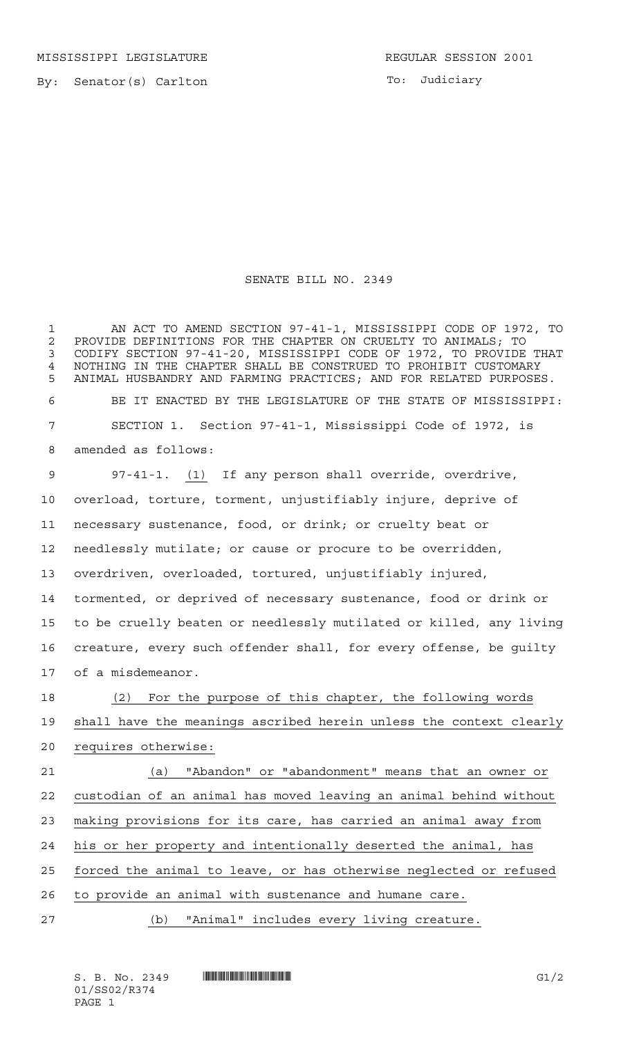MISSISSIPPI LEGISLATURE **REGULAR SESSION 2001** 

By: Senator(s) Carlton

To: Judiciary

## SENATE BILL NO. 2349

 AN ACT TO AMEND SECTION 97-41-1, MISSISSIPPI CODE OF 1972, TO 2 PROVIDE DEFINITIONS FOR THE CHAPTER ON CRUELTY TO ANIMALS; TO<br>3 CODIFY SECTION 97-41-20, MISSISSIPPI CODE OF 1972, TO PROVIDE CODIFY SECTION 97-41-20, MISSISSIPPI CODE OF 1972, TO PROVIDE THAT NOTHING IN THE CHAPTER SHALL BE CONSTRUED TO PROHIBIT CUSTOMARY ANIMAL HUSBANDRY AND FARMING PRACTICES; AND FOR RELATED PURPOSES. BE IT ENACTED BY THE LEGISLATURE OF THE STATE OF MISSISSIPPI: SECTION 1. Section 97-41-1, Mississippi Code of 1972, is amended as follows:

 97-41-1. (1) If any person shall override, overdrive, overload, torture, torment, unjustifiably injure, deprive of necessary sustenance, food, or drink; or cruelty beat or needlessly mutilate; or cause or procure to be overridden, overdriven, overloaded, tortured, unjustifiably injured, tormented, or deprived of necessary sustenance, food or drink or to be cruelly beaten or needlessly mutilated or killed, any living creature, every such offender shall, for every offense, be guilty of a misdemeanor.

 (2) For the purpose of this chapter, the following words shall have the meanings ascribed herein unless the context clearly requires otherwise:

 (a) "Abandon" or "abandonment" means that an owner or custodian of an animal has moved leaving an animal behind without making provisions for its care, has carried an animal away from his or her property and intentionally deserted the animal, has 25 forced the animal to leave, or has otherwise neglected or refused to provide an animal with sustenance and humane care.

(b) "Animal" includes every living creature.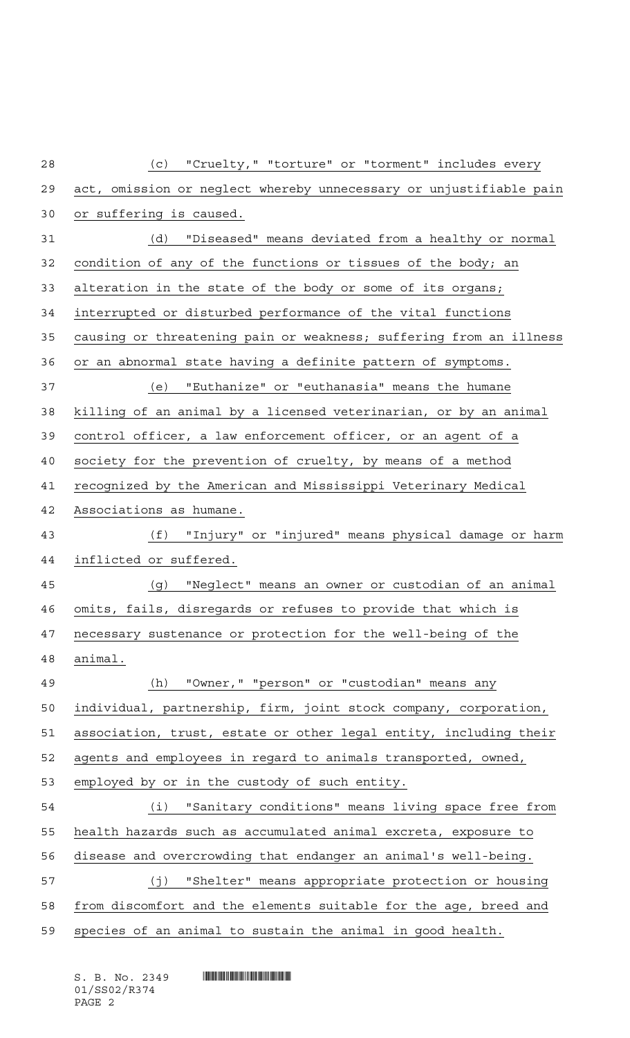| 28 | "Cruelty," "torture" or "torment" includes every<br>(c)            |
|----|--------------------------------------------------------------------|
| 29 | act, omission or neglect whereby unnecessary or unjustifiable pain |
| 30 | or suffering is caused.                                            |
| 31 | (d) "Diseased" means deviated from a healthy or normal             |
| 32 | condition of any of the functions or tissues of the body; an       |
| 33 | alteration in the state of the body or some of its organs;         |
| 34 | interrupted or disturbed performance of the vital functions        |
| 35 | causing or threatening pain or weakness; suffering from an illness |
| 36 | or an abnormal state having a definite pattern of symptoms.        |
| 37 | (e) "Euthanize" or "euthanasia" means the humane                   |
| 38 | killing of an animal by a licensed veterinarian, or by an animal   |
| 39 | control officer, a law enforcement officer, or an agent of a       |
| 40 | society for the prevention of cruelty, by means of a method        |
| 41 | recognized by the American and Mississippi Veterinary Medical      |
| 42 | Associations as humane.                                            |
| 43 | (f) "Injury" or "injured" means physical damage or harm            |
| 44 | inflicted or suffered.                                             |
| 45 | (g) "Neglect" means an owner or custodian of an animal             |
| 46 | omits, fails, disregards or refuses to provide that which is       |
| 47 | necessary sustenance or protection for the well-being of the       |
| 48 | animal.                                                            |
| 49 | "Owner," "person" or "custodian" means any<br>(h)                  |
| 50 | individual, partnership, firm, joint stock company, corporation,   |
| 51 | association, trust, estate or other legal entity, including their  |
| 52 | agents and employees in regard to animals transported, owned,      |
| 53 | employed by or in the custody of such entity.                      |
| 54 | "Sanitary conditions" means living space free from<br>(i)          |
| 55 | health hazards such as accumulated animal excreta, exposure to     |
| 56 | disease and overcrowding that endanger an animal's well-being.     |
| 57 | (j) "Shelter" means appropriate protection or housing              |
| 58 | from discomfort and the elements suitable for the age, breed and   |
| 59 | species of an animal to sustain the animal in good health.         |

 $S. B. No. 2349$  . So  $R349$ 01/SS02/R374 PAGE 2